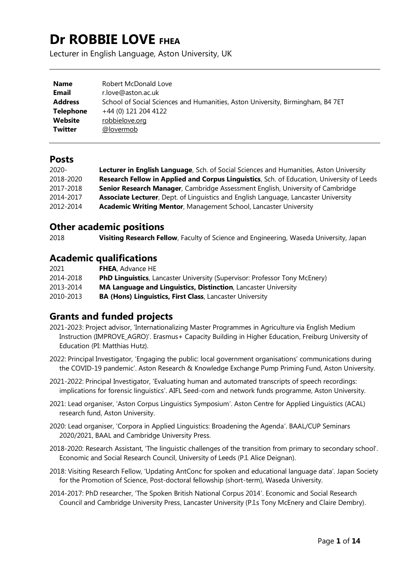# **Dr ROBBIE LOVE FHEA**

Lecturer in English Language, Aston University, UK

| <b>Name</b>    | Robert McDonald Love                                                           |
|----------------|--------------------------------------------------------------------------------|
| Email          | r.love@aston.ac.uk                                                             |
| <b>Address</b> | School of Social Sciences and Humanities, Aston University, Birmingham, B4 7ET |
| Telephone      | +44 (0) 121 204 4122                                                           |
| Website        | robbielove.org                                                                 |
| <b>Twitter</b> | @lovermob                                                                      |

## **Posts**

| $2020 -$  | Lecturer in English Language, Sch. of Social Sciences and Humanities, Aston University      |
|-----------|---------------------------------------------------------------------------------------------|
| 2018-2020 | Research Fellow in Applied and Corpus Linguistics, Sch. of Education, University of Leeds   |
| 2017-2018 | Senior Research Manager, Cambridge Assessment English, University of Cambridge              |
| 2014-2017 | <b>Associate Lecturer</b> , Dept. of Linguistics and English Language, Lancaster University |
| 2012-2014 | Academic Writing Mentor, Management School, Lancaster University                            |

## **Other academic positions**

2018 **Visiting Research Fellow**, Faculty of Science and Engineering, Waseda University, Japan

# **Academic qualifications**

| 2021      | <b>FHEA</b> , Advance HE                                                           |
|-----------|------------------------------------------------------------------------------------|
| 2014-2018 | <b>PhD Linguistics</b> , Lancaster University (Supervisor: Professor Tony McEnery) |
| 2013-2014 | MA Language and Linguistics, Distinction, Lancaster University                     |
| 2010-2013 | <b>BA (Hons) Linguistics, First Class, Lancaster University</b>                    |

## **Grants and funded projects**

- 2021-2023: Project advisor, 'Internationalizing Master Programmes in Agriculture via English Medium Instruction (IMPROVE\_AGRO)'. Erasmus+ Capacity Building in Higher Education, Freiburg University of Education (PI: Matthias Hutz).
- 2022: Principal Investigator, 'Engaging the public: local government organisations' communications during the COVID-19 pandemic'. Aston Research & Knowledge Exchange Pump Priming Fund, Aston University.
- 2021-2022: Principal Investigator, 'Evaluating human and automated transcripts of speech recordings: implications for forensic linguistics'. AIFL Seed-corn and network funds programme, Aston University.
- 2021: Lead organiser, 'Aston Corpus Linguistics Symposium'. Aston Centre for Applied Linguistics (ACAL) research fund, Aston University.
- 2020: Lead organiser, 'Corpora in Applied Linguistics: Broadening the Agenda'. BAAL/CUP Seminars 2020/2021, BAAL and Cambridge University Press.
- 2018-2020: Research Assistant, 'The linguistic challenges of the transition from primary to secondary school'. Economic and Social Research Council, University of Leeds (P.I. Alice Deignan).
- 2018: Visiting Research Fellow, 'Updating AntConc for spoken and educational language data'. Japan Society for the Promotion of Science, Post-doctoral fellowship (short-term), Waseda University.
- 2014-2017: PhD researcher, 'The Spoken British National Corpus 2014'. Economic and Social Research Council and Cambridge University Press, Lancaster University (P.I.s Tony McEnery and Claire Dembry).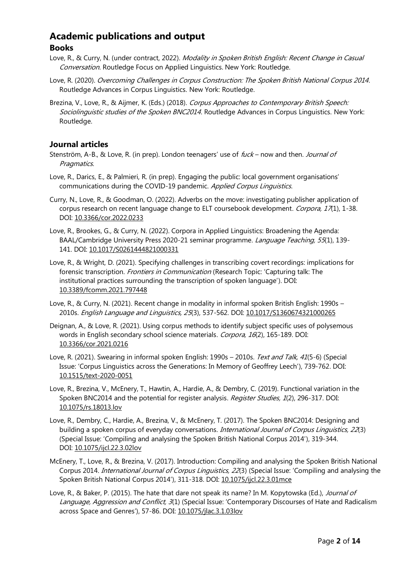# **Academic publications and output**

## **Books**

- Love, R., & Curry, N. (under contract, 2022). Modality in Spoken British English: Recent Change in Casual Conversation. Routledge Focus on Applied Linguistics. New York: Routledge.
- Love, R. (2020). Overcoming Challenges in Corpus Construction: The Spoken British National Corpus 2014. Routledge Advances in Corpus Linguistics. New York: Routledge.
- Brezina, V., Love, R., & Aijmer, K. (Eds.) (2018). Corpus Approaches to Contemporary British Speech: Sociolinguistic studies of the Spoken BNC2014. Routledge Advances in Corpus Linguistics. New York: Routledge.

#### **Journal articles**

- Stenström, A-B., & Love, R. (in prep). London teenagers' use of *fuck* now and then. *Journal of* Pragmatics.
- Love, R., Darics, E., & Palmieri, R. (in prep). Engaging the public: local government organisations' communications during the COVID-19 pandemic. Applied Corpus Linguistics.
- Curry, N., Love, R., & Goodman, O. (2022). Adverbs on the move: investigating publisher application of corpus research on recent language change to ELT coursebook development. Corpora, 17(1), 1-38. DOI: [10.3366/cor.2022.0233](https://www.euppublishing.com/doi/abs/10.3366/cor.2022.0233)
- Love, R., Brookes, G., & Curry, N. (2022). Corpora in Applied Linguistics: Broadening the Agenda: BAAL/Cambridge University Press 2020-21 seminar programme. Language Teaching, 55(1), 139-141. DOI: [10.1017/S0261444821000331](https://www.cambridge.org/core/journals/language-teaching/article/abs/corpora-in-applied-linguistics-broadening-the-agenda/6425820249E3A6FFE1B3D1171BF77CE7)
- Love, R., & Wright, D. (2021). Specifying challenges in transcribing covert recordings: implications for forensic transcription. *Frontiers in Communication* (Research Topic: 'Capturing talk: The institutional practices surrounding the transcription of spoken language'). DOI: [10.3389/fcomm.2021.797448](https://www.frontiersin.org/articles/10.3389/fcomm.2021.797448/abstract)
- Love, R., & Curry, N. (2021). Recent change in modality in informal spoken British English: 1990s 2010s. English Language and Linguistics, 25(3), 537-562. DOI: [10.1017/S1360674321000265](https://www.cambridge.org/core/journals/english-language-and-linguistics/article/abs/recent-change-in-modality-in-informal-spoken-british-english-1990s2010s/20A30A8A2BB154C56F000D2E639BC301)
- Deignan, A., & Love, R. (2021). Using corpus methods to identify subject specific uses of polysemous words in English secondary school science materials. Corpora, 16(2), 165-189. DOI: [10.3366/cor.2021.0216](https://www.euppublishing.com/doi/abs/10.3366/cor.2021.0216)
- Love, R. (2021). Swearing in informal spoken English: 1990s 2010s. Text and Talk, 41(5-6) (Special Issue: 'Corpus Linguistics across the Generations: In Memory of Geoffrey Leech'), 739-762. DOI: [10.1515/text-2020-0051](https://www.degruyter.com/document/doi/10.1515/text-2020-0051/html)
- Love, R., Brezina, V., McEnery, T., Hawtin, A., Hardie, A., & Dembry, C. (2019). Functional variation in the Spoken BNC2014 and the potential for register analysis. Register Studies, 1(2), 296-317. DOI: [10.1075/rs.18013.lov](https://www.jbe-platform.com/content/journals/10.1075/rs.18013.lov)
- Love, R., Dembry, C., Hardie, A., Brezina, V., & McEnery, T. (2017). The Spoken BNC2014: Designing and building a spoken corpus of everyday conversations. *International Journal of Corpus Linguistics, 22*(3) (Special Issue: 'Compiling and analysing the Spoken British National Corpus 2014'), 319-344. DOI: [10.1075/ijcl.22.3.02lov](https://doi.org/10.1075/ijcl.22.3.02lov)
- McEnery, T., Love, R., & Brezina, V. (2017). Introduction: Compiling and analysing the Spoken British National Corpus 2014. *International Journal of Corpus Linguistics, 22*(3) (Special Issue: 'Compiling and analysing the Spoken British National Corpus 2014'), 311-318. DOI: [10.1075/ijcl.22.3.01mce](https://doi.org/10.1075/ijcl.22.3.01mce)
- Love, R., & Baker, P. (2015). The hate that dare not speak its name? In M. Kopytowska (Ed.), Journal of Language, Aggression and Conflict, 3(1) (Special Issue: 'Contemporary Discourses of Hate and Radicalism across Space and Genres'), 57-86. DOI: [10.1075/jlac.3.1.03lov](http://dx.doi.org/10.1075/jlac.3.1.03lov)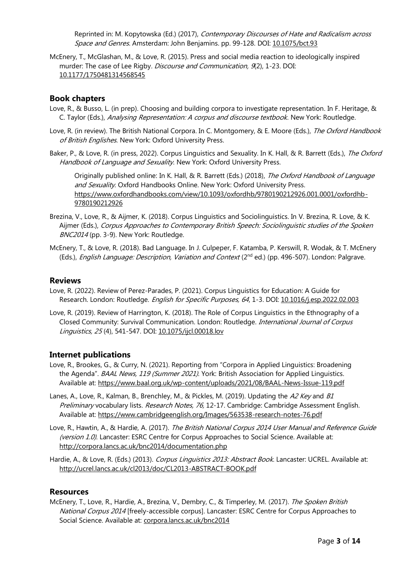Reprinted in: M. Kopytowska (Ed.) (2017), Contemporary Discourses of Hate and Radicalism across Space and Genres. Amsterdam: John Benjamins. pp. 99-128. DOI: [10.1075/bct.93](http://www.jbe-platform.com/content/books/9789027264985)

McEnery, T., McGlashan, M., & Love, R. (2015). Press and social media reaction to ideologically inspired murder: The case of Lee Rigby. Discourse and Communication, 9(2), 1-23. DOI: [10.1177/1750481314568545](http://journals.sagepub.com/doi/10.1177/1750481314568545)

#### **Book chapters**

- Love, R., & Busso, L. (in prep). Choosing and building corpora to investigate representation. In F. Heritage, & C. Taylor (Eds.), Analysing Representation: A corpus and discourse textbook. New York: Routledge.
- Love, R. (in review). The British National Corpora. In C. Montgomery, & E. Moore (Eds.), The Oxford Handbook of British Englishes. New York: Oxford University Press.
- Baker, P., & Love, R. (in press, 2022). Corpus Linguistics and Sexuality. In K. Hall, & R. Barrett (Eds.), The Oxford Handbook of Language and Sexuality. New York: Oxford University Press.

Originally published online: In K. Hall, & R. Barrett (Eds.) (2018), The Oxford Handbook of Language and Sexuality. Oxford Handbooks Online. New York: Oxford University Press. [https://www.oxfordhandbooks.com/view/10.1093/oxfordhb/9780190212926.001.0001/oxfordhb-](https://www.oxfordhandbooks.com/view/10.1093/oxfordhb/9780190212926.001.0001/oxfordhb-9780190212926)[9780190212926](https://www.oxfordhandbooks.com/view/10.1093/oxfordhb/9780190212926.001.0001/oxfordhb-9780190212926)

- Brezina, V., Love, R., & Aijmer, K. (2018). Corpus Linguistics and Sociolinguistics. In V. Brezina, R. Love, & K. Aijmer (Eds.), Corpus Approaches to Contemporary British Speech: Sociolinguistic studies of the Spoken BNC2014 (pp. 3-9). New York: Routledge.
- McEnery, T., & Love, R. (2018). Bad Language. In J. Culpeper, F. Katamba, P. Kerswill, R. Wodak, & T. McEnery (Eds.), *English Language: Description, Variation and Context* (2<sup>nd</sup> ed.) (pp. 496-507). London: Palgrave.

#### **Reviews**

- Love, R. (2022). Review of Perez-Parades, P. (2021). Corpus Linguistics for Education: A Guide for Research. London: Routledge. English for Specific Purposes, 64, 1-3. DOI: [10.1016/j.esp.2022.02.003](https://doi.org/10.1016/j.esp.2022.02.003)
- Love, R. (2019). Review of Harrington, K. (2018). The Role of Corpus Linguistics in the Ethnography of a Closed Community: Survival Communication. London: Routledge. International Journal of Corpus Linguistics, 25 (4), 541-547. DOI: [10.1075/ijcl.00018.lov](https://www.jbe-platform.com/content/journals/10.1075/ijcl.00018.lov)

#### **Internet publications**

- Love, R., Brookes, G., & Curry, N. (2021). Reporting from "Corpora in Applied Linguistics: Broadening the Agenda". BAAL News, 119 (Summer 2021). York: British Association for Applied Linguistics. Available at:<https://www.baal.org.uk/wp-content/uploads/2021/08/BAAL-News-Issue-119.pdf>
- Lanes, A., Love, R., Kalman, B., Brenchley, M., & Pickles, M. (2019). Updating the A2 Key and B1 Preliminary vocabulary lists. Research Notes, 76, 12-17. Cambridge: Cambridge Assessment English. Available at:<https://www.cambridgeenglish.org/Images/563538-research-notes-76.pdf>
- Love, R., Hawtin, A., & Hardie, A. (2017). The British National Corpus 2014 User Manual and Reference Guide (version 1.0). Lancaster: ESRC Centre for Corpus Approaches to Social Science. Available at: <http://corpora.lancs.ac.uk/bnc2014/documentation.php>
- Hardie, A., & Love, R. (Eds.) (2013). Corpus Linguistics 2013: Abstract Book. Lancaster: UCREL. Available at: <http://ucrel.lancs.ac.uk/cl2013/doc/CL2013-ABSTRACT-BOOK.pdf>

#### **Resources**

McEnery, T., Love, R., Hardie, A., Brezina, V., Dembry, C., & Timperley, M. (2017). The Spoken British National Corpus 2014 [freely-accessible corpus]. Lancaster: ESRC Centre for Corpus Approaches to Social Science. Available at: [corpora.lancs.ac.uk/bnc2014](http://corpora.lancs.ac.uk/bnc2014)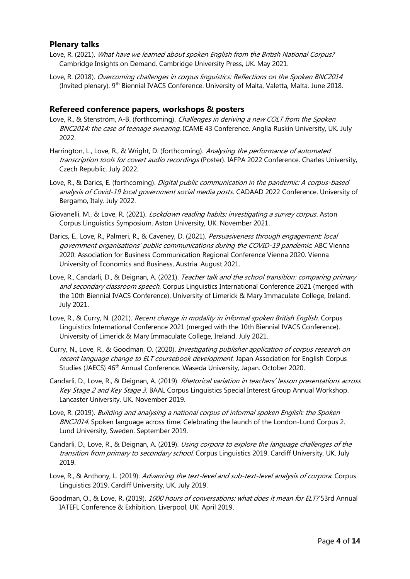#### **Plenary talks**

- Love, R. (2021). What have we learned about spoken English from the British National Corpus? Cambridge Insights on Demand. Cambridge University Press, UK. May 2021.
- Love, R. (2018). Overcoming challenges in corpus linguistics: Reflections on the Spoken BNC2014 (Invited plenary). 9<sup>th</sup> Biennial IVACS Conference. University of Malta, Valetta, Malta. June 2018.

#### **Refereed conference papers, workshops & posters**

- Love, R., & Stenström, A-B. (forthcoming). *Challenges in deriving a new COLT from the Spoken* BNC2014: the case of teenage swearing. ICAME 43 Conference. Anglia Ruskin University, UK. July 2022.
- Harrington, L., Love, R., & Wright, D. (forthcoming). Analysing the performance of automated transcription tools for covert audio recordings (Poster). IAFPA 2022 Conference. Charles University, Czech Republic. July 2022.
- Love, R., & Darics, E. (forthcoming). *Digital public communication in the pandemic: A corpus-based* analysis of Covid-19 local government social media posts. CADAAD 2022 Conference. University of Bergamo, Italy. July 2022.
- Giovanelli, M., & Love, R. (2021). *Lockdown reading habits: investigating a survey corpus*. Aston Corpus Linguistics Symposium, Aston University, UK. November 2021.
- Darics, E., Love, R., Palmeri, R., & Caveney, D. (2021). Persuasiveness through engagement: local government organisations' public communications during the COVID-19 pandemic. ABC Vienna 2020: Association for Business Communication Regional Conference Vienna 2020. Vienna University of Economics and Business, Austria. August 2021.
- Love, R., Candarli, D., & Deignan, A. (2021). Teacher talk and the school transition: comparing primary and secondary classroom speech. Corpus Linguistics International Conference 2021 (merged with the 10th Biennial IVACS Conference). University of Limerick & Mary Immaculate College, Ireland. July 2021.
- Love, R., & Curry, N. (2021). Recent change in modality in informal spoken British English. Corpus Linguistics International Conference 2021 (merged with the 10th Biennial IVACS Conference). University of Limerick & Mary Immaculate College, Ireland. July 2021.
- Curry, N., Love, R., & Goodman, O. (2020). Investigating publisher application of corpus research on recent language change to ELT coursebook development. Japan Association for English Corpus Studies (JAECS) 46<sup>th</sup> Annual Conference. Waseda University, Japan. October 2020.
- Candarli, D., Love, R., & Deignan, A. (2019). Rhetorical variation in teachers' lesson presentations across Key Stage 2 and Key Stage 3. BAAL Corpus Linguistics Special Interest Group Annual Workshop. Lancaster University, UK. November 2019.
- Love, R. (2019). Building and analysing a national corpus of informal spoken English: the Spoken BNC2014. Spoken language across time: Celebrating the launch of the London-Lund Corpus 2. Lund University, Sweden. September 2019.
- Candarli, D., Love, R., & Deignan, A. (2019). *Using corpora to explore the language challenges of the* transition from primary to secondary school. Corpus Linguistics 2019. Cardiff University, UK. July 2019.
- Love, R., & Anthony, L. (2019). Advancing the text-level and sub-text-level analysis of corpora. Corpus Linguistics 2019. Cardiff University, UK. July 2019.
- Goodman, O., & Love, R. (2019). 1000 hours of conversations: what does it mean for ELT? 53rd Annual IATEFL Conference & Exhibition. Liverpool, UK. April 2019.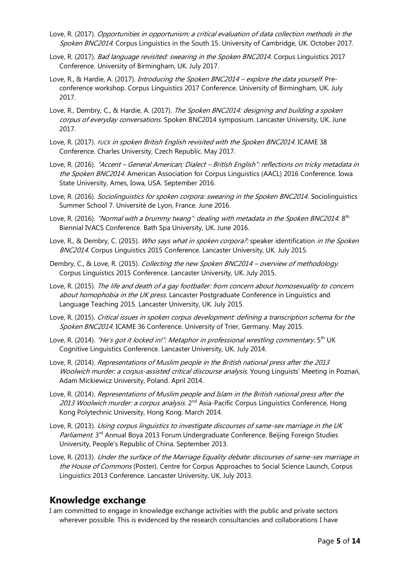- Love, R. (2017). Opportunities in opportunism: a critical evaluation of data collection methods in the Spoken BNC2014. Corpus Linguistics in the South 15. University of Cambridge, UK. October 2017.
- Love, R. (2017). *Bad language revisited: swearing in the Spoken BNC2014*. Corpus Linguistics 2017 Conference. University of Birmingham, UK. July 2017.
- Love, R., & Hardie, A. (2017). Introducing the Spoken BNC2014 explore the data yourself. Preconference workshop. Corpus Linguistics 2017 Conference. University of Birmingham, UK. July 2017.
- Love, R., Dembry, C., & Hardie, A. (2017). The Spoken BNC2014: designing and building a spoken corpus of everyday conversations. Spoken BNC2014 symposium. Lancaster University, UK. June 2017.
- Love, R. (2017). FUCK in spoken British English revisited with the Spoken BNC2014. ICAME 38 Conference. Charles University, Czech Republic. May 2017.
- Love, R. (2016). "Accent General American; Dialect British English": reflections on tricky metadata in the Spoken BNC2014. American Association for Corpus Linguistics (AACL) 2016 Conference. Iowa State University, Ames, Iowa, USA. September 2016.
- Love, R. (2016). Sociolinguistics for spoken corpora: swearing in the Spoken BNC2014. Sociolinguistics Summer School 7. Université de Lyon, France. June 2016.
- Love, R. (2016). "Normal with a brummy twang": dealing with metadata in the Spoken BNC2014. 8<sup>th</sup> Biennial IVACS Conference. Bath Spa University, UK. June 2016.
- Love, R., & Dembry, C. (2015). Who says what in spoken corpora?: speaker identification in the Spoken BNC2014. Corpus Linguistics 2015 Conference. Lancaster University, UK. July 2015.
- Dembry, C., & Love, R. (2015). Collecting the new Spoken BNC2014 overview of methodology. Corpus Linguistics 2015 Conference. Lancaster University, UK. July 2015.
- Love, R. (2015). The life and death of a gay footballer: from concern about homosexuality to concern about homophobia in the UK press. Lancaster Postgraduate Conference in Linguistics and Language Teaching 2015. Lancaster University, UK. July 2015.
- Love, R. (2015). Critical issues in spoken corpus development: defining a transcription schema for the Spoken BNC2014. ICAME 36 Conference. University of Trier, Germany. May 2015.
- Love, R. (2014). "He's got it locked in!": Metaphor in professional wrestling commentary. 5<sup>th</sup> UK Cognitive Linguistics Conference. Lancaster University, UK. July 2014.
- Love, R. (2014). Representations of Muslim people in the British national press after the 2013 Woolwich murder: a corpus-assisted critical discourse analysis. Young Linguists' Meeting in Poznań, Adam Mickiewicz University, Poland. April 2014.
- Love, R. (2014). Representations of Muslim people and Islam in the British national press after the 2013 Woolwich murder: a corpus analysis. 2<sup>nd</sup> Asia-Pacific Corpus Linguistics Conference, Hong Kong Polytechnic University, Hong Kong. March 2014.
- Love, R. (2013). Using corpus linguistics to investigate discourses of same-sex marriage in the UK Parliament. 3<sup>rd</sup> Annual Boya 2013 Forum Undergraduate Conference. Beijing Foreign Studies University, People's Republic of China. September 2013.
- Love, R. (2013). Under the surface of the Marriage Equality debate: discourses of same-sex marriage in the House of Commons (Poster). Centre for Corpus Approaches to Social Science Launch, Corpus Linguistics 2013 Conference. Lancaster University, UK. July 2013.

## **Knowledge exchange**

I am committed to engage in knowledge exchange activities with the public and private sectors wherever possible. This is evidenced by the research consultancies and collaborations I have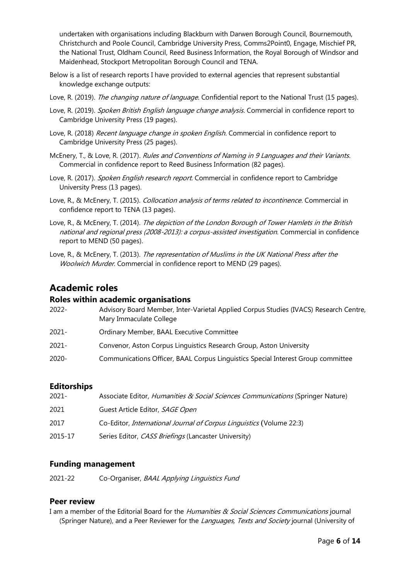undertaken with organisations including Blackburn with Darwen Borough Council, Bournemouth, Christchurch and Poole Council, Cambridge University Press, Comms2Point0, Engage, Mischief PR, the National Trust, Oldham Council, Reed Business Information, the Royal Borough of Windsor and Maidenhead, Stockport Metropolitan Borough Council and TENA.

- Below is a list of research reports I have provided to external agencies that represent substantial knowledge exchange outputs:
- Love, R. (2019). The changing nature of language. Confidential report to the National Trust (15 pages).
- Love, R. (2019). Spoken British English language change analysis. Commercial in confidence report to Cambridge University Press (19 pages).
- Love, R. (2018) Recent language change in spoken English. Commercial in confidence report to Cambridge University Press (25 pages).
- McEnery, T., & Love, R. (2017). Rules and Conventions of Naming in 9 Languages and their Variants. Commercial in confidence report to Reed Business Information (82 pages).
- Love, R. (2017). Spoken English research report. Commercial in confidence report to Cambridge University Press (13 pages).
- Love, R., & McEnery, T. (2015). Collocation analysis of terms related to incontinence. Commercial in confidence report to TENA (13 pages).
- Love, R., & McEnery, T. (2014). The depiction of the London Borough of Tower Hamlets in the British national and regional press (2008-2013): a corpus-assisted investigation. Commercial in confidence report to MEND (50 pages).
- Love, R., & McEnery, T. (2013). The representation of Muslims in the UK National Press after the Woolwich Murder. Commercial in confidence report to MEND (29 pages).

## **Academic roles**

#### **Roles within academic organisations**

| 2022- | Advisory Board Member, Inter-Varietal Applied Corpus Studies (IVACS) Research Centre,<br>Mary Immaculate College |
|-------|------------------------------------------------------------------------------------------------------------------|
| 2021- | Ordinary Member, BAAL Executive Committee                                                                        |
| 2021- | Convenor, Aston Corpus Linguistics Research Group, Aston University                                              |
| 2020- | Communications Officer, BAAL Corpus Linguistics Special Interest Group committee                                 |

## **Editorships**

| 2021-   | Associate Editor, Humanities & Social Sciences Communications (Springer Nature) |
|---------|---------------------------------------------------------------------------------|
| 2021    | Guest Article Editor, SAGE Open                                                 |
| 2017    | Co-Editor, <i>International Journal of Corpus Linguistics</i> (Volume 22:3)     |
| 2015-17 | Series Editor, CASS Briefings (Lancaster University)                            |

## **Funding management**

2021-22 Co-Organiser, BAAL Applying Linguistics Fund

## **Peer review**

I am a member of the Editorial Board for the Humanities & Social Sciences Communications journal (Springer Nature), and a Peer Reviewer for the Languages, Texts and Society journal (University of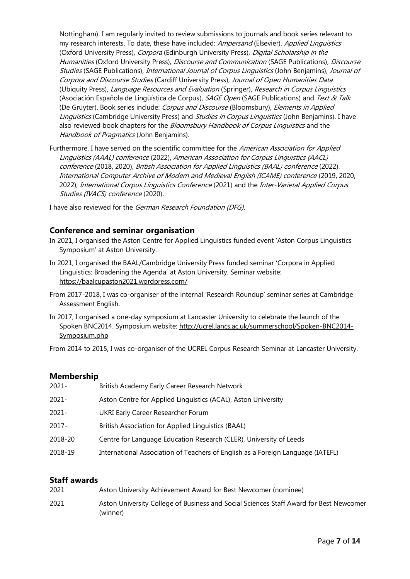Nottingham). I am regularly invited to review submissions to journals and book series relevant to my research interests. To date, these have included: Ampersand (Elsevier), Applied Linguistics (Oxford University Press), Corpora (Edinburgh University Press), Digital Scholarship in the Humanities (Oxford University Press), *Discourse and Communication* (SAGE Publications), *Discourse* Studies (SAGE Publications), *International Journal of Corpus Linguistics* (John Benjamins), *Journal of* Corpora and Discourse Studies (Cardiff University Press), Journal of Open Humanities Data (Ubiquity Press), Language Resources and Evaluation (Springer), Research in Corpus Linguistics (Asociación Española de Lingüística de Corpus), SAGE Open (SAGE Publications) and Text & Talk (De Gruyter). Book series include: Corpus and Discourse (Bloomsbury), Elements in Applied Linguistics (Cambridge University Press) and Studies in Corpus Linguistics (John Benjamins). I have also reviewed book chapters for the Bloomsbury Handbook of Corpus Linguistics and the Handbook of Pragmatics (John Benjamins).

Furthermore, I have served on the scientific committee for the American Association for Applied Linguistics (AAAL) conference (2022), American Association for Corpus Linguistics (AACL) conference (2018, 2020), British Association for Applied Linguistics (BAAL) conference (2022), International Computer Archive of Modern and Medieval English (ICAME) conference (2019, 2020, 2022), International Corpus Linguistics Conference (2021) and the Inter-Varietal Applied Corpus Studies (IVACS) conference (2020).

I have also reviewed for the German Research Foundation (DFG).

## **Conference and seminar organisation**

- In 2021, I organised the Aston Centre for Applied Linguistics funded event 'Aston Corpus Linguistics Symposium' at Aston University.
- In 2021, I organised the BAAL/Cambridge University Press funded seminar 'Corpora in Applied Linguistics: Broadening the Agenda' at Aston University. Seminar website: <https://baalcupaston2021.wordpress.com/>
- From 2017-2018, I was co-organiser of the internal 'Research Roundup' seminar series at Cambridge Assessment English.
- In 2017, I organised a one-day symposium at Lancaster University to celebrate the launch of the Spoken BNC2014. Symposium website: [http://ucrel.lancs.ac.uk/summerschool/Spoken-BNC2014-](http://ucrel.lancs.ac.uk/summerschool/Spoken-BNC2014-Symposium.php) [Symposium.php](http://ucrel.lancs.ac.uk/summerschool/Spoken-BNC2014-Symposium.php)

From 2014 to 2015, I was co-organiser of the UCREL Corpus Research Seminar at Lancaster University.

#### **Membership**

| 2021-   | British Academy Early Career Research Network                                   |
|---------|---------------------------------------------------------------------------------|
| 2021-   | Aston Centre for Applied Linguistics (ACAL), Aston University                   |
| 2021-   | UKRI Early Career Researcher Forum                                              |
| 2017-   | British Association for Applied Linguistics (BAAL)                              |
| 2018-20 | Centre for Language Education Research (CLER), University of Leeds              |
| 2018-19 | International Association of Teachers of English as a Foreign Language (IATEFL) |

#### **Staff awards**

| 2021 | Aston University Achievement Award for Best Newcomer (nominee)                                     |
|------|----------------------------------------------------------------------------------------------------|
| 2021 | Aston University College of Business and Social Sciences Staff Award for Best Newcomer<br>(winner) |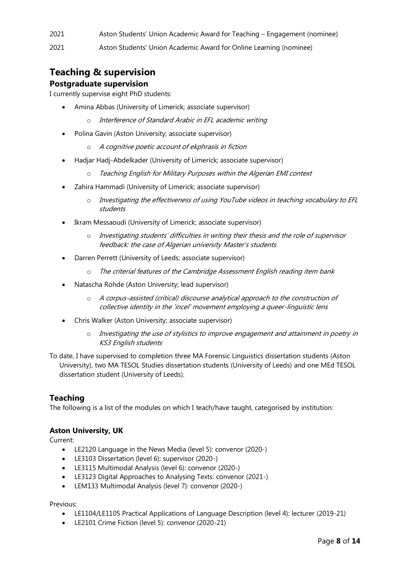2021 Aston Students' Union Academic Award for Teaching – Engagement (nominee)

2021 Aston Students' Union Academic Award for Online Learning (nominee)

# **Teaching & supervision**

#### **Postgraduate supervision**

I currently supervise eight PhD students:

- Amina Abbas (University of Limerick; associate supervisor)
	- o Interference of Standard Arabic in EFL academic writing
- Polina Gavin (Aston University; associate supervisor)
	- o A cognitive poetic account of ekphrasis in fiction
- Hadjar Hadj-Abdelkader (University of Limerick; associate supervisor)
	- o Teaching English for Military Purposes within the Algerian EMI context
- Zahira Hammadi (University of Limerick; associate supervisor)
	- o Investigating the effectiveness of using YouTube videos in teaching vocabulary to EFL students
- Ikram Messaoudi (University of Limerick; associate supervisor)
	- o Investigating students' difficulties in writing their thesis and the role of supervisor feedback: the case of Algerian university Master's students
- Darren Perrett (University of Leeds; associate supervisor)
	- o The criterial features of the Cambridge Assessment English reading item bank
- Natascha Rohde (Aston University; lead supervisor)
	- o A corpus-assisted (critical) discourse analytical approach to the construction of collective identity in the 'incel' movement employing a queer-linguistic lens
- Chris Walker (Aston University; associate supervisor)
	- o Investigating the use of stylistics to improve engagement and attainment in poetry in KS3 English students
- To date, I have supervised to completion three MA Forensic Linguistics dissertation students (Aston University), two MA TESOL Studies dissertation students (University of Leeds) and one MEd TESOL dissertation student (University of Leeds).

#### **Teaching**

The following is a list of the modules on which I teach/have taught, categorised by institution:

#### **Aston University, UK**

Current:

- LE2120 Language in the News Media (level 5): convenor (2020-)
- LE3103 Dissertation (level 6): supervisor (2020-)
- LE3115 Multimodal Analysis (level 6): convenor (2020-)
- LE3123 Digital Approaches to Analysing Texts: convenor (2021-)
- LEM133 Multimodal Analysis (level 7): convenor (2020-)

#### Previous:

- LE1104/LE1105 Practical Applications of Language Description (level 4): lecturer (2019-21)
- LE2101 Crime Fiction (level 5): convenor (2020-21)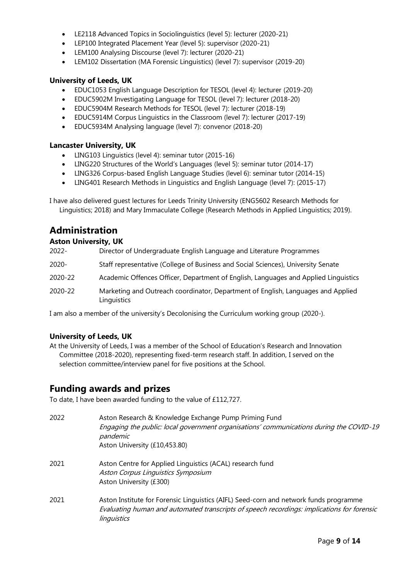- LE2118 Advanced Topics in Sociolinguistics (level 5): lecturer (2020-21)
- LEP100 Integrated Placement Year (level 5): supervisor (2020-21)
- LEM100 Analysing Discourse (level 7): lecturer (2020-21)
- LEM102 Dissertation (MA Forensic Linguistics) (level 7): supervisor (2019-20)

#### **University of Leeds, UK**

- EDUC1053 English Language Description for TESOL (level 4): lecturer (2019-20)
- EDUC5902M Investigating Language for TESOL (level 7): lecturer (2018-20)
- EDUC5904M Research Methods for TESOL (level 7): lecturer (2018-19)
- EDUC5914M Corpus Linguistics in the Classroom (level 7): lecturer (2017-19)
- EDUC5934M Analysing language (level 7): convenor (2018-20)

#### **Lancaster University, UK**

- LING103 Linguistics (level 4): seminar tutor (2015-16)
- LING220 Structures of the World's Languages (level 5): seminar tutor (2014-17)
- LING326 Corpus-based English Language Studies (level 6): seminar tutor (2014-15)
- LING401 Research Methods in Linguistics and English Language (level 7): (2015-17)

I have also delivered guest lectures for Leeds Trinity University (ENG5602 Research Methods for Linguistics; 2018) and Mary Immaculate College (Research Methods in Applied Linguistics; 2019).

# **Administration**

#### **Aston University, UK**

| 2022-   | Director of Undergraduate English Language and Literature Programmes                            |
|---------|-------------------------------------------------------------------------------------------------|
| 2020-   | Staff representative (College of Business and Social Sciences), University Senate               |
| 2020-22 | Academic Offences Officer, Department of English, Languages and Applied Linguistics             |
| 2020-22 | Marketing and Outreach coordinator, Department of English, Languages and Applied<br>Linguistics |

I am also a member of the university's Decolonising the Curriculum working group (2020-).

## **University of Leeds, UK**

At the University of Leeds, I was a member of the School of Education's Research and Innovation Committee (2018-2020), representing fixed-term research staff. In addition, I served on the selection committee/interview panel for five positions at the School.

## **Funding awards and prizes**

To date, I have been awarded funding to the value of £112,727.

| 2022 | Aston Research & Knowledge Exchange Pump Priming Fund<br>Engaging the public: local government organisations' communications during the COVID-19<br>pandemic<br>Aston University (£10,453.80)      |
|------|----------------------------------------------------------------------------------------------------------------------------------------------------------------------------------------------------|
| 2021 | Aston Centre for Applied Linguistics (ACAL) research fund<br>Aston Corpus Linguistics Symposium<br>Aston University (£300)                                                                         |
| 2021 | Aston Institute for Forensic Linguistics (AIFL) Seed-corn and network funds programme<br>Evaluating human and automated transcripts of speech recordings: implications for forensic<br>linguistics |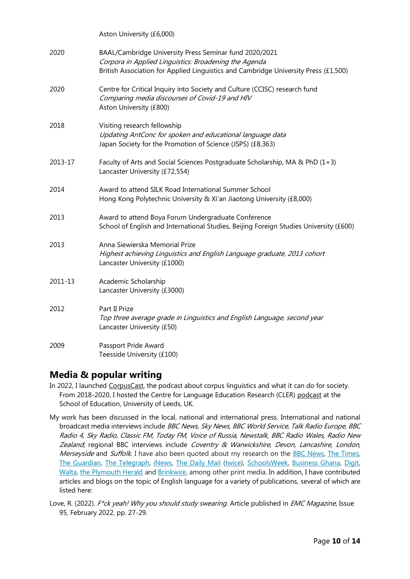|         | Aston University (£6,000)                                                                                                                                                                              |
|---------|--------------------------------------------------------------------------------------------------------------------------------------------------------------------------------------------------------|
| 2020    | BAAL/Cambridge University Press Seminar fund 2020/2021<br>Corpora in Applied Linguistics: Broadening the Agenda<br>British Association for Applied Linguistics and Cambridge University Press (£1,500) |
| 2020    | Centre for Critical Inquiry into Society and Culture (CCISC) research fund<br>Comparing media discourses of Covid-19 and HIV<br>Aston University (£800)                                                |
| 2018    | Visiting research fellowship<br>Updating AntConc for spoken and educational language data<br>Japan Society for the Promotion of Science (JSPS) (£8,363)                                                |
| 2013-17 | Faculty of Arts and Social Sciences Postgraduate Scholarship, MA & PhD (1+3)<br>Lancaster University (£72,554)                                                                                         |
| 2014    | Award to attend SILK Road International Summer School<br>Hong Kong Polytechnic University & Xi'an Jiaotong University (£8,000)                                                                         |
| 2013    | Award to attend Boya Forum Undergraduate Conference<br>School of English and International Studies, Beijing Foreign Studies University (£600)                                                          |
| 2013    | Anna Siewierska Memorial Prize<br>Highest achieving Linguistics and English Language graduate, 2013 cohort<br>Lancaster University (£1000)                                                             |
| 2011-13 | Academic Scholarship<br>Lancaster University (£3000)                                                                                                                                                   |
| 2012    | Part II Prize<br>Top three average grade in Linguistics and English Language, second year<br>Lancaster University (£50)                                                                                |
| 2009    | Passport Pride Award<br>Teesside University (£100)                                                                                                                                                     |

## **Media & popular writing**

- In 2022, I launched [CorpusCast,](https://www.youtube.com/playlist?list=PLpP0S_lBFSRTw4mwKeWxKadBtBHDgDkhc) the podcast about corpus linguistics and what it can do for society. From 2018-2020, I hosted the Centre for Language Education Research (CLER[\) podcast](https://essl.leeds.ac.uk/centre-language-education-research/doc/audio-archive) at the School of Education, University of Leeds, UK.
- My work has been discussed in the local, national and international press. International and national broadcast media interviews include BBC News, Sky News, BBC World Service, Talk Radio Europe, BBC Radio 4, Sky Radio, Classic FM, Today FM, Voice of Russia, Newstalk, BBC Radio Wales, Radio New Zealand; regional BBC interviews include Coventry & Warwickshire, Devon, Lancashire, London, Merseyside and Suffolk. I have also been quoted about my research on the [BBC News,](https://www.bbc.co.uk/news/technology-49197595) [The Times,](http://www.thetimes.co.uk/article/we-re-saying-ta-ra-to-dated-words-like-golly-sbm639p9r?shareToken=bb405a78672f5b3dd127fa016b7779bb) [The Guardian,](https://www.theguardian.com/environment/2019/jul/31/tweet-web-cloud-technology-transforms-meaning-of-nature-words) [The Telegraph,](https://www.telegraph.co.uk/news/2019/07/31/cloud-stream-net-web-nature-words-have-taken-tech/) [iNews,](https://inews.co.uk/news/environment/tweets-clouds-streams-technology-millennials-nature/) [The Daily Mail](http://www.dailymail.co.uk/news/article-4304544/Mucking-playschool-goes-right-window.html) [\(twice\)](https://www.dailymail.co.uk/news/article-7303859/Researchers-fear-nature-losing-voice-technology-speak.html), [SchoolsWeek,](https://schoolsweek.co.uk/preliminary-findings-from-the-spoken-british-national-corpus/) [Business Ghana,](http://www.businessghana.com/site/news/technology/193071/Nature-s-language-is-being-hijacked-by-technology) [Digit,](https://digit.fyi/digit-tech-news-roundup-2nd-of-august-2019/) [Walta,](http://www.waltainfo.com/SATech/detail?cid=49520) [the Plymouth Herald](https://www.plymouthherald.co.uk/news/uk-world-news/nature-replaced-technology-british-language-3165775) and [Brinkwire,](https://en.brinkwire.com/news/researchers-fear-nature-is-losing-its-voice-to-technology-speak/) among other print media. In addition, I have contributed articles and blogs on the topic of English language for a variety of publications, several of which are listed here:
- Love, R. (2022). F<sup>\*</sup>ck yeah! Why you should study swearing. Article published in *EMC Magazine*, Issue 95, February 2022, pp. 27-29.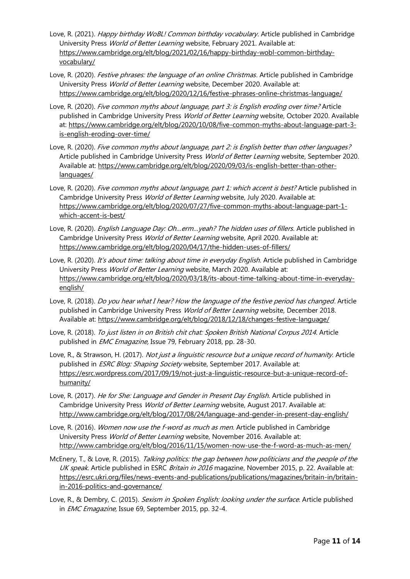- Love, R. (2021). *Happy birthday WoBL! Common birthday vocabulary.* Article published in Cambridge University Press World of Better Learning website, February 2021. Available at: [https://www.cambridge.org/elt/blog/2021/02/16/happy-birthday-wobl-common-birthday](https://www.cambridge.org/elt/blog/2021/02/16/happy-birthday-wobl-common-birthday-vocabulary/)[vocabulary/](https://www.cambridge.org/elt/blog/2021/02/16/happy-birthday-wobl-common-birthday-vocabulary/)
- Love, R. (2020). *Festive phrases: the language of an online Christmas.* Article published in Cambridge University Press World of Better Learning website, December 2020. Available at: <https://www.cambridge.org/elt/blog/2020/12/16/festive-phrases-online-christmas-language/>
- Love, R. (2020). Five common myths about language, part 3: is English eroding over time? Article published in Cambridge University Press World of Better Learning website, October 2020. Available at: [https://www.cambridge.org/elt/blog/2020/10/08/five-common-myths-about-language-part-3](https://www.cambridge.org/elt/blog/2020/10/08/five-common-myths-about-language-part-3-is-english-eroding-over-time/) [is-english-eroding-over-time/](https://www.cambridge.org/elt/blog/2020/10/08/five-common-myths-about-language-part-3-is-english-eroding-over-time/)
- Love, R. (2020). Five common myths about language, part 2: is English better than other languages? Article published in Cambridge University Press World of Better Learning website, September 2020. Available at: [https://www.cambridge.org/elt/blog/2020/09/03/is-english-better-than-other](https://www.cambridge.org/elt/blog/2020/09/03/is-english-better-than-other-languages/)[languages/](https://www.cambridge.org/elt/blog/2020/09/03/is-english-better-than-other-languages/)
- Love, R. (2020). Five common myths about language, part 1: which accent is best? Article published in Cambridge University Press World of Better Learning website, July 2020. Available at: [https://www.cambridge.org/elt/blog/2020/07/27/five-common-myths-about-language-part-1](https://www.cambridge.org/elt/blog/2020/07/27/five-common-myths-about-language-part-1-which-accent-is-best/) [which-accent-is-best/](https://www.cambridge.org/elt/blog/2020/07/27/five-common-myths-about-language-part-1-which-accent-is-best/)
- Love, R. (2020). *English Language Day: Oh...erm... yeah? The hidden uses of fillers*. Article published in Cambridge University Press World of Better Learning website, April 2020. Available at: <https://www.cambridge.org/elt/blog/2020/04/17/the-hidden-uses-of-fillers/>
- Love, R. (2020). It's about time: talking about time in everyday English. Article published in Cambridge University Press World of Better Learning website, March 2020. Available at: [https://www.cambridge.org/elt/blog/2020/03/18/its-about-time-talking-about-time-in-everyday](https://www.cambridge.org/elt/blog/2020/03/18/its-about-time-talking-about-time-in-everyday-english/)[english/](https://www.cambridge.org/elt/blog/2020/03/18/its-about-time-talking-about-time-in-everyday-english/)
- Love, R. (2018). Do you hear what I hear? How the language of the festive period has changed. Article published in Cambridge University Press World of Better Learning website, December 2018. Available at: <https://www.cambridge.org/elt/blog/2018/12/18/changes-festive-language/>
- Love, R. (2018). To just listen in on British chit chat: Spoken British National Corpus 2014. Article published in *EMC Emagazine*, Issue 79, February 2018, pp. 28-30.
- Love, R., & Strawson, H. (2017). Not just a linguistic resource but a unique record of humanity. Article published in *ESRC Blog: Shaping Society* website, September 2017. Available at: [https://esrc.wordpress.com/2017/09/19/not-just-a-linguistic-resource-but-a-unique-record-of](https://esrc.wordpress.com/2017/09/19/not-just-a-linguistic-resource-but-a-unique-record-of-humanity/)[humanity/](https://esrc.wordpress.com/2017/09/19/not-just-a-linguistic-resource-but-a-unique-record-of-humanity/)
- Love, R. (2017). He for She: Language and Gender in Present Day English. Article published in Cambridge University Press World of Better Learning website, August 2017. Available at: <http://www.cambridge.org/elt/blog/2017/08/24/language-and-gender-in-present-day-english/>
- Love, R. (2016). Women now use the f-word as much as men. Article published in Cambridge University Press World of Better Learning website, November 2016. Available at: <http://www.cambridge.org/elt/blog/2016/11/15/women-now-use-the-f-word-as-much-as-men/>
- McEnery, T., & Love, R. (2015). Talking politics: the gap between how politicians and the people of the UK speak. Article published in ESRC Britain in 2016 magazine, November 2015, p. 22. Available at: [https://esrc.ukri.org/files/news-events-and-publications/publications/magazines/britain-in/britain](https://esrc.ukri.org/files/news-events-and-publications/publications/magazines/britain-in/britain-in-2016-politics-and-governance/)[in-2016-politics-and-governance/](https://esrc.ukri.org/files/news-events-and-publications/publications/magazines/britain-in/britain-in-2016-politics-and-governance/)
- Love, R., & Dembry, C. (2015). Sexism in Spoken English: looking under the surface. Article published in *EMC Emagazine*, Issue 69, September 2015, pp. 32-4.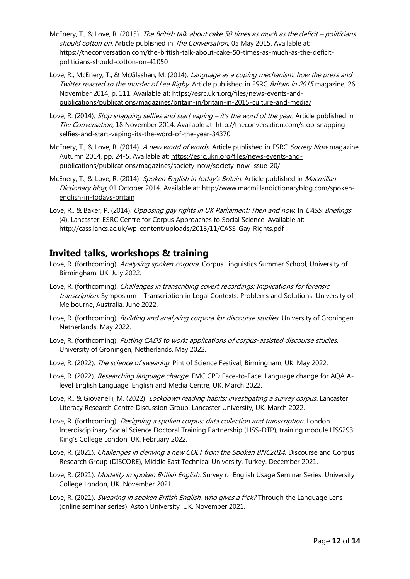- McEnery, T., & Love, R. (2015). The British talk about cake 50 times as much as the deficit politicians should cotton on. Article published in The Conversation, 05 May 2015. Available at: [https://theconversation.com/the-british-talk-about-cake-50-times-as-much-as-the-deficit](https://theconversation.com/the-british-talk-about-cake-50-times-as-much-as-the-deficit-politicians-should-cotton-on-41050)[politicians-should-cotton-on-41050](https://theconversation.com/the-british-talk-about-cake-50-times-as-much-as-the-deficit-politicians-should-cotton-on-41050)
- Love, R., McEnery, T., & McGlashan, M. (2014). *Language as a coping mechanism: how the press and* Twitter reacted to the murder of Lee Rigby. Article published in ESRC Britain in 2015 magazine, 26 November 2014, p. 111. Available at[: https://esrc.ukri.org/files/news-events-and](https://esrc.ukri.org/files/news-events-and-publications/publications/magazines/britain-in/britain-in-2015-culture-and-media/)[publications/publications/magazines/britain-in/britain-in-2015-culture-and-media/](https://esrc.ukri.org/files/news-events-and-publications/publications/magazines/britain-in/britain-in-2015-culture-and-media/)
- Love, R. (2014). *Stop snapping selfies and start vaping it's the word of the year.* Article published in The Conversation, 18 November 2014. Available at: [http://theconversation.com/stop-snapping](http://theconversation.com/stop-snapping-selfies-and-start-vaping-its-the-word-of-the-year-34370)[selfies-and-start-vaping-its-the-word-of-the-year-34370](http://theconversation.com/stop-snapping-selfies-and-start-vaping-its-the-word-of-the-year-34370)
- McEnery, T., & Love, R. (2014). A new world of words. Article published in ESRC Society Now magazine. Autumn 2014, pp. 24-5. Available at: [https://esrc.ukri.org/files/news-events-and](https://esrc.ukri.org/files/news-events-and-publications/publications/magazines/society-now/society-now-issue-20/)[publications/publications/magazines/society-now/society-now-issue-20/](https://esrc.ukri.org/files/news-events-and-publications/publications/magazines/society-now/society-now-issue-20/)
- McEnery, T., & Love, R. (2014). Spoken English in today's Britain. Article published in Macmillan Dictionary blog, 01 October 2014. Available at: [http://www.macmillandictionaryblog.com/spoken](http://www.macmillandictionaryblog.com/spoken-english-in-todays-britain)[english-in-todays-britain](http://www.macmillandictionaryblog.com/spoken-english-in-todays-britain)
- Love, R., & Baker, P. (2014). Opposing gay rights in UK Parliament: Then and now. In CASS: Briefings (4). Lancaster: ESRC Centre for Corpus Approaches to Social Science. Available at: <http://cass.lancs.ac.uk/wp-content/uploads/2013/11/CASS-Gay-Rights.pdf>

## **Invited talks, workshops & training**

- Love, R. (forthcoming). Analysing spoken corpora. Corpus Linguistics Summer School, University of Birmingham, UK. July 2022.
- Love, R. (forthcoming). Challenges in transcribing covert recordings: Implications for forensic transcription. Symposium - Transcription in Legal Contexts: Problems and Solutions. University of Melbourne, Australia. June 2022.
- Love, R. (forthcoming). *Building and analysing corpora for discourse studies*. University of Groningen, Netherlands. May 2022.
- Love, R. (forthcoming). Putting CADS to work: applications of corpus-assisted discourse studies. University of Groningen, Netherlands. May 2022.
- Love, R. (2022). The science of swearing. Pint of Science Festival, Birmingham, UK. May 2022.
- Love, R. (2022). *Researching language change*. EMC CPD Face-to-Face: Language change for AOA Alevel English Language. English and Media Centre, UK. March 2022.
- Love, R., & Giovanelli, M. (2022). *Lockdown reading habits: investigating a survey corpus*. Lancaster Literacy Research Centre Discussion Group, Lancaster University, UK. March 2022.
- Love, R. (forthcoming). *Designing a spoken corpus: data collection and transcription*. London Interdisciplinary Social Science Doctoral Training Partnership (LISS-DTP), training module LISS293. King's College London, UK. February 2022.
- Love, R. (2021). Challenges in deriving a new COLT from the Spoken BNC2014. Discourse and Corpus Research Group (DISCORE), Middle East Technical University, Turkey. December 2021.
- Love, R. (2021). Modality in spoken British English. Survey of English Usage Seminar Series, University College London, UK. November 2021.
- Love, R. (2021). Swearing in spoken British English: who gives a f\*ck? Through the Language Lens (online seminar series). Aston University, UK. November 2021.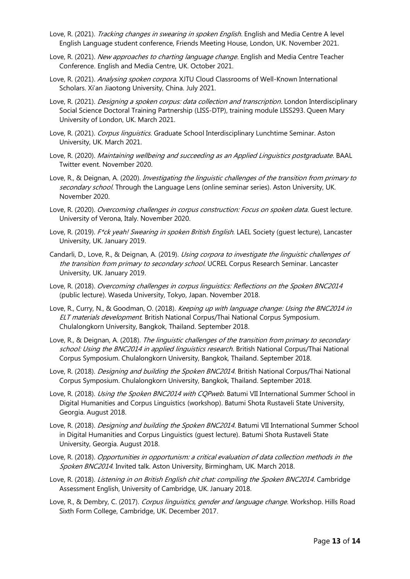- Love, R. (2021). Tracking changes in swearing in spoken English. English and Media Centre A level English Language student conference, Friends Meeting House, London, UK. November 2021.
- Love, R. (2021). New approaches to charting language change. English and Media Centre Teacher Conference. English and Media Centre, UK. October 2021.
- Love, R. (2021). Analysing spoken corpora. XJTU Cloud Classrooms of Well-Known International Scholars. Xi'an Jiaotong University, China. July 2021.
- Love, R. (2021). *Designing a spoken corpus: data collection and transcription*. London Interdisciplinary Social Science Doctoral Training Partnership (LISS-DTP), training module LISS293. Queen Mary University of London, UK. March 2021.
- Love, R. (2021). Corpus linguistics. Graduate School Interdisciplinary Lunchtime Seminar. Aston University, UK. March 2021.
- Love, R. (2020). Maintaining wellbeing and succeeding as an Applied Linguistics postgraduate. BAAL Twitter event. November 2020.
- Love, R., & Deignan, A. (2020). *Investigating the linguistic challenges of the transition from primary to* secondary school. Through the Language Lens (online seminar series). Aston University, UK. November 2020.
- Love, R. (2020). Overcoming challenges in corpus construction: Focus on spoken data. Guest lecture. University of Verona, Italy. November 2020.
- Love, R. (2019). F\*ck yeah! Swearing in spoken British English. LAEL Society (quest lecture), Lancaster University, UK. January 2019.
- Candarli, D., Love, R., & Deignan, A. (2019). Using corpora to investigate the linguistic challenges of the transition from primary to secondary school. UCREL Corpus Research Seminar. Lancaster University, UK. January 2019.
- Love, R. (2018). Overcoming challenges in corpus linguistics: Reflections on the Spoken BNC2014 (public lecture). Waseda University, Tokyo, Japan. November 2018.
- Love, R., Curry, N., & Goodman, O. (2018). Keeping up with language change: Using the BNC2014 in ELT materials development. British National Corpus/Thai National Corpus Symposium. Chulalongkorn University, Bangkok, Thailand. September 2018.
- Love, R., & Deignan, A. (2018). The linguistic challenges of the transition from primary to secondary school: Using the BNC2014 in applied linguistics research. British National Corpus/Thai National Corpus Symposium. Chulalongkorn University, Bangkok, Thailand. September 2018.
- Love, R. (2018). *Designing and building the Spoken BNC2014*. British National Corpus/Thai National Corpus Symposium. Chulalongkorn University, Bangkok, Thailand. September 2018.
- Love, R. (2018). Using the Spoken BNC2014 with CQPweb. Batumi VII International Summer School in Digital Humanities and Corpus Linguistics (workshop). Batumi Shota Rustaveli State University, Georgia. August 2018.
- Love, R. (2018). *Designing and building the Spoken BNC2014*. Batumi VII International Summer School in Digital Humanities and Corpus Linguistics (guest lecture). Batumi Shota Rustaveli State University, Georgia. August 2018.
- Love, R. (2018). Opportunities in opportunism: a critical evaluation of data collection methods in the Spoken BNC2014. Invited talk. Aston University, Birmingham, UK. March 2018.
- Love, R. (2018). Listening in on British English chit chat: compiling the Spoken BNC2014. Cambridge Assessment English, University of Cambridge, UK. January 2018.
- Love, R., & Dembry, C. (2017). Corpus linguistics, gender and language change. Workshop. Hills Road Sixth Form College, Cambridge, UK. December 2017.